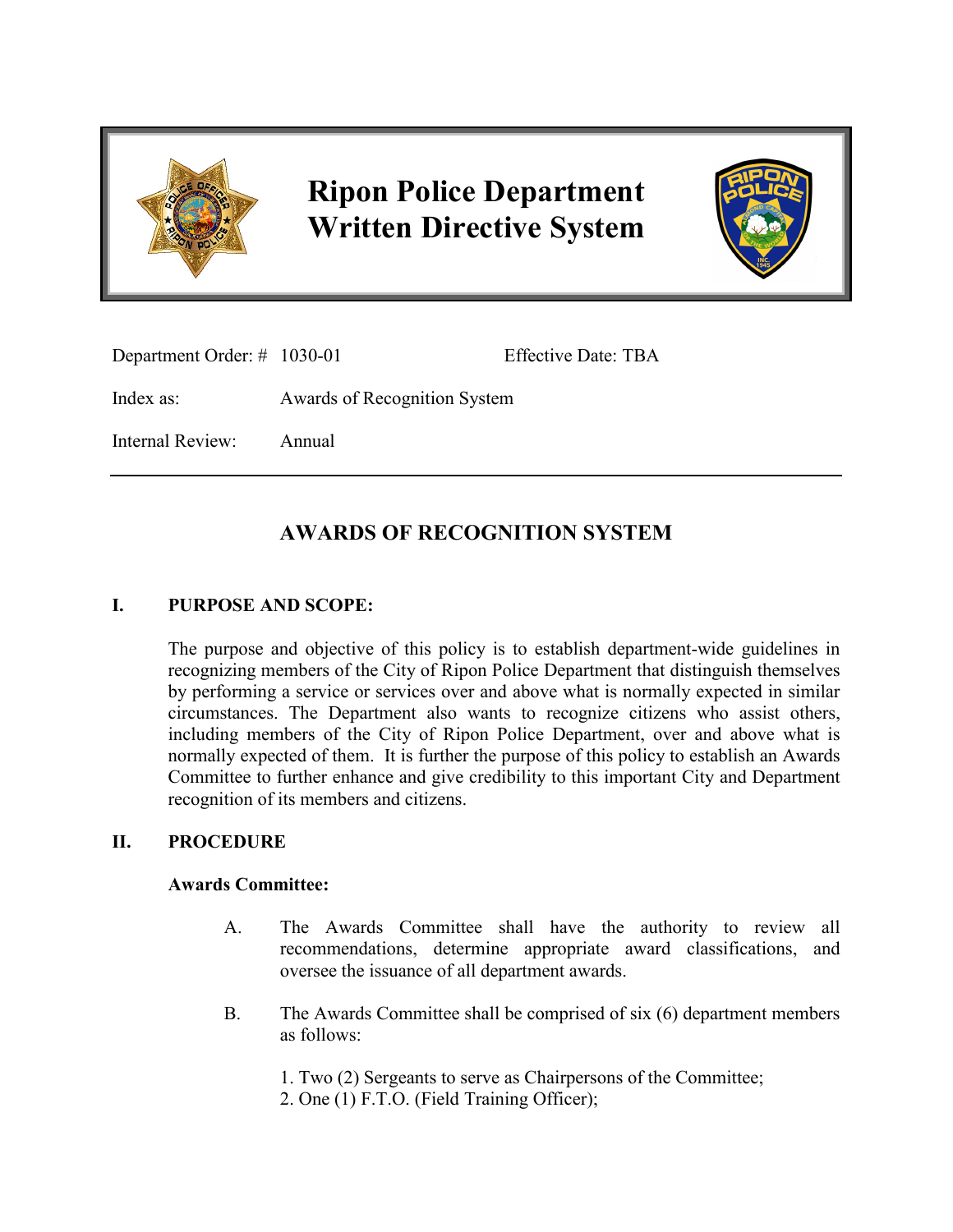

# **Ripon Police Department Written Directive System**



Department Order: # 1030-01 Effective Date: TBA

Index as: Awards of Recognition System

Internal Review: Annual

## **AWARDS OF RECOGNITION SYSTEM**

### **I. PURPOSE AND SCOPE:**

The purpose and objective of this policy is to establish department-wide guidelines in recognizing members of the City of Ripon Police Department that distinguish themselves by performing a service or services over and above what is normally expected in similar circumstances. The Department also wants to recognize citizens who assist others, including members of the City of Ripon Police Department, over and above what is normally expected of them. It is further the purpose of this policy to establish an Awards Committee to further enhance and give credibility to this important City and Department recognition of its members and citizens.

#### **II. PROCEDURE**

#### **Awards Committee:**

- A. The Awards Committee shall have the authority to review all recommendations, determine appropriate award classifications, and oversee the issuance of all department awards.
- B. The Awards Committee shall be comprised of six (6) department members as follows:
	- 1. Two (2) Sergeants to serve as Chairpersons of the Committee;
	- 2. One (1) F.T.O. (Field Training Officer);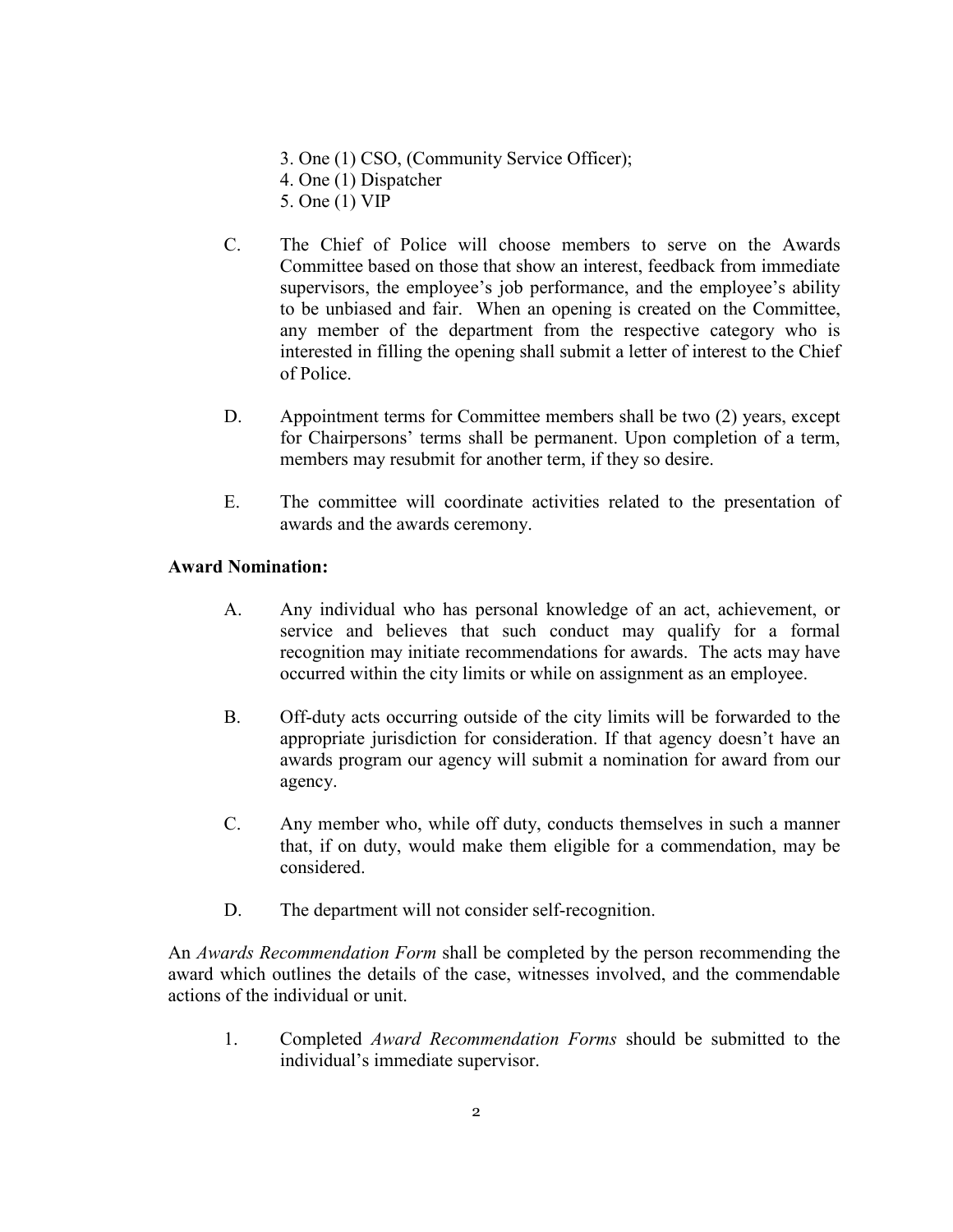- 3. One (1) CSO, (Community Service Officer);
- 4. One (1) Dispatcher
- 5. One (1) VIP
- C. The Chief of Police will choose members to serve on the Awards Committee based on those that show an interest, feedback from immediate supervisors, the employee's job performance, and the employee's ability to be unbiased and fair. When an opening is created on the Committee, any member of the department from the respective category who is interested in filling the opening shall submit a letter of interest to the Chief of Police.
- D. Appointment terms for Committee members shall be two (2) years, except for Chairpersons' terms shall be permanent. Upon completion of a term, members may resubmit for another term, if they so desire.
- E. The committee will coordinate activities related to the presentation of awards and the awards ceremony.

#### **Award Nomination:**

- A. Any individual who has personal knowledge of an act, achievement, or service and believes that such conduct may qualify for a formal recognition may initiate recommendations for awards. The acts may have occurred within the city limits or while on assignment as an employee.
- B. Off-duty acts occurring outside of the city limits will be forwarded to the appropriate jurisdiction for consideration. If that agency doesn't have an awards program our agency will submit a nomination for award from our agency.
- C. Any member who, while off duty, conducts themselves in such a manner that, if on duty, would make them eligible for a commendation, may be considered.
- D. The department will not consider self-recognition.

An *Awards Recommendation Form* shall be completed by the person recommending the award which outlines the details of the case, witnesses involved, and the commendable actions of the individual or unit.

1. Completed *Award Recommendation Forms* should be submitted to the individual's immediate supervisor.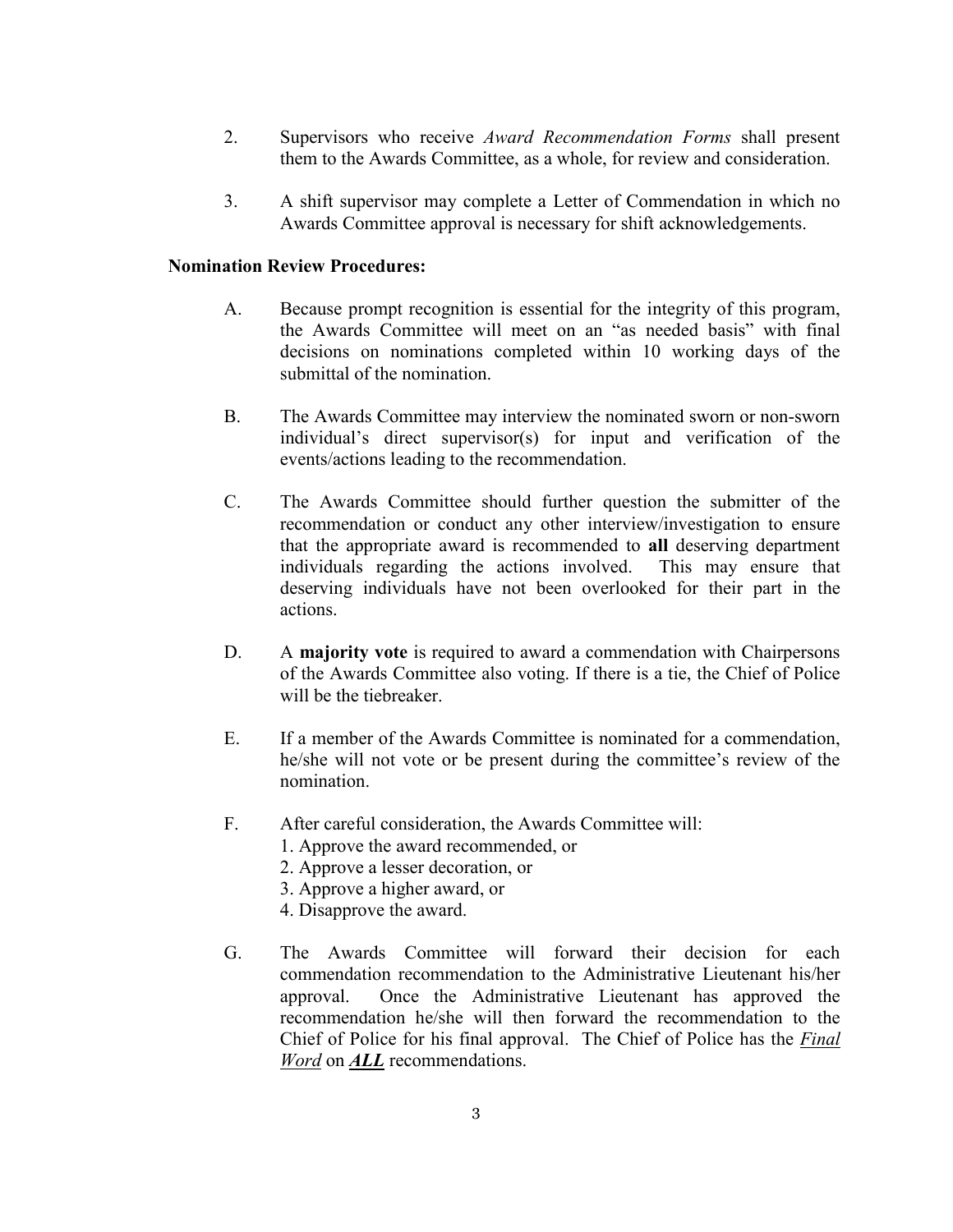- 2. Supervisors who receive *Award Recommendation Forms* shall present them to the Awards Committee, as a whole, for review and consideration.
- 3. A shift supervisor may complete a Letter of Commendation in which no Awards Committee approval is necessary for shift acknowledgements.

#### **Nomination Review Procedures:**

- A. Because prompt recognition is essential for the integrity of this program, the Awards Committee will meet on an "as needed basis" with final decisions on nominations completed within 10 working days of the submittal of the nomination.
- B. The Awards Committee may interview the nominated sworn or non-sworn individual's direct supervisor(s) for input and verification of the events/actions leading to the recommendation.
- C. The Awards Committee should further question the submitter of the recommendation or conduct any other interview/investigation to ensure that the appropriate award is recommended to **all** deserving department individuals regarding the actions involved. This may ensure that deserving individuals have not been overlooked for their part in the actions.
- D. A **majority vote** is required to award a commendation with Chairpersons of the Awards Committee also voting. If there is a tie, the Chief of Police will be the tiebreaker.
- E. If a member of the Awards Committee is nominated for a commendation, he/she will not vote or be present during the committee's review of the nomination.
- F. After careful consideration, the Awards Committee will:
	- 1. Approve the award recommended, or
	- 2. Approve a lesser decoration, or
	- 3. Approve a higher award, or
	- 4. Disapprove the award.
- G. The Awards Committee will forward their decision for each commendation recommendation to the Administrative Lieutenant his/her approval. Once the Administrative Lieutenant has approved the recommendation he/she will then forward the recommendation to the Chief of Police for his final approval. The Chief of Police has the *Final Word* on *ALL* recommendations.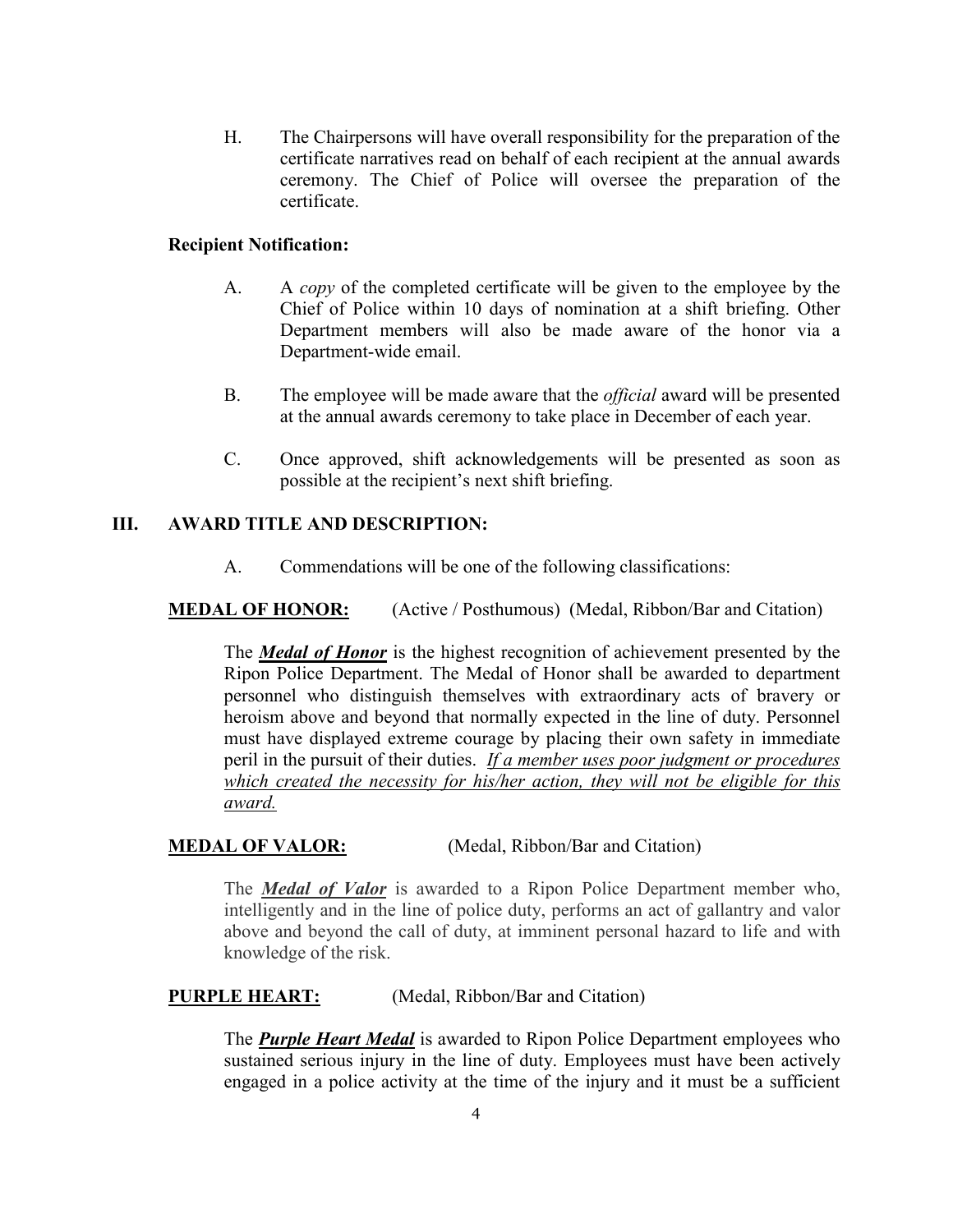H. The Chairpersons will have overall responsibility for the preparation of the certificate narratives read on behalf of each recipient at the annual awards ceremony. The Chief of Police will oversee the preparation of the certificate.

#### **Recipient Notification:**

- A. A *copy* of the completed certificate will be given to the employee by the Chief of Police within 10 days of nomination at a shift briefing. Other Department members will also be made aware of the honor via a Department-wide email.
- B. The employee will be made aware that the *official* award will be presented at the annual awards ceremony to take place in December of each year.
- C. Once approved, shift acknowledgements will be presented as soon as possible at the recipient's next shift briefing.

#### **III. AWARD TITLE AND DESCRIPTION:**

A. Commendations will be one of the following classifications:

#### **MEDAL OF HONOR:** (Active / Posthumous) (Medal, Ribbon/Bar and Citation)

The *Medal of Honor* is the highest recognition of achievement presented by the Ripon Police Department. The Medal of Honor shall be awarded to department personnel who distinguish themselves with extraordinary acts of bravery or heroism above and beyond that normally expected in the line of duty. Personnel must have displayed extreme courage by placing their own safety in immediate peril in the pursuit of their duties. *If a member uses poor judgment or procedures which created the necessity for his/her action, they will not be eligible for this award.*

#### **MEDAL OF VALOR:** (Medal, Ribbon/Bar and Citation)

The *Medal of Valor* is awarded to a Ripon Police Department member who, intelligently and in the line of police duty, performs an act of gallantry and valor above and beyond the call of duty, at imminent personal hazard to life and with knowledge of the risk.

#### **PURPLE HEART:** (Medal, Ribbon/Bar and Citation)

The *Purple Heart Medal* is awarded to Ripon Police Department employees who sustained serious injury in the line of duty. Employees must have been actively engaged in a police activity at the time of the injury and it must be a sufficient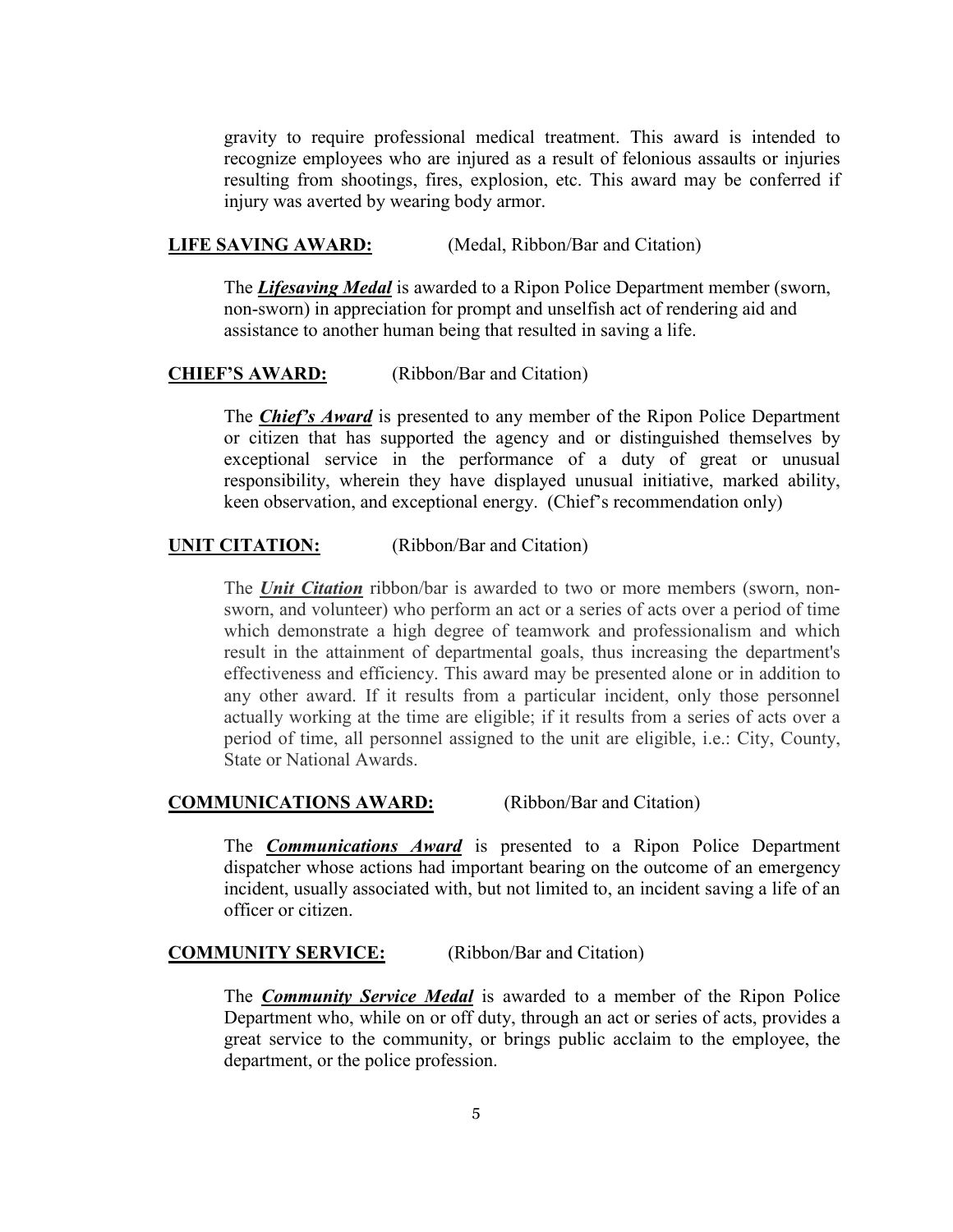gravity to require professional medical treatment. This award is intended to recognize employees who are injured as a result of felonious assaults or injuries resulting from shootings, fires, explosion, etc. This award may be conferred if injury was averted by wearing body armor.

#### **LIFE SAVING AWARD:** (Medal, Ribbon/Bar and Citation)

The *Lifesaving Medal* is awarded to a Ripon Police Department member (sworn, non-sworn) in appreciation for prompt and unselfish act of rendering aid and assistance to another human being that resulted in saving a life.

#### **CHIEF'S AWARD:** (Ribbon/Bar and Citation)

The *Chief's Award* is presented to any member of the Ripon Police Department or citizen that has supported the agency and or distinguished themselves by exceptional service in the performance of a duty of great or unusual responsibility, wherein they have displayed unusual initiative, marked ability, keen observation, and exceptional energy. (Chief's recommendation only)

#### **UNIT CITATION:** (Ribbon/Bar and Citation)

The *Unit Citation* ribbon/bar is awarded to two or more members (sworn, nonsworn, and volunteer) who perform an act or a series of acts over a period of time which demonstrate a high degree of teamwork and professionalism and which result in the attainment of departmental goals, thus increasing the department's effectiveness and efficiency. This award may be presented alone or in addition to any other award. If it results from a particular incident, only those personnel actually working at the time are eligible; if it results from a series of acts over a period of time, all personnel assigned to the unit are eligible, i.e.: City, County, State or National Awards.

#### **COMMUNICATIONS AWARD:** (Ribbon/Bar and Citation)

The *Communications Award* is presented to a Ripon Police Department dispatcher whose actions had important bearing on the outcome of an emergency incident, usually associated with, but not limited to, an incident saving a life of an officer or citizen.

#### **COMMUNITY SERVICE:** (Ribbon/Bar and Citation)

The *Community Service Medal* is awarded to a member of the Ripon Police Department who, while on or off duty, through an act or series of acts, provides a great service to the community, or brings public acclaim to the employee, the department, or the police profession.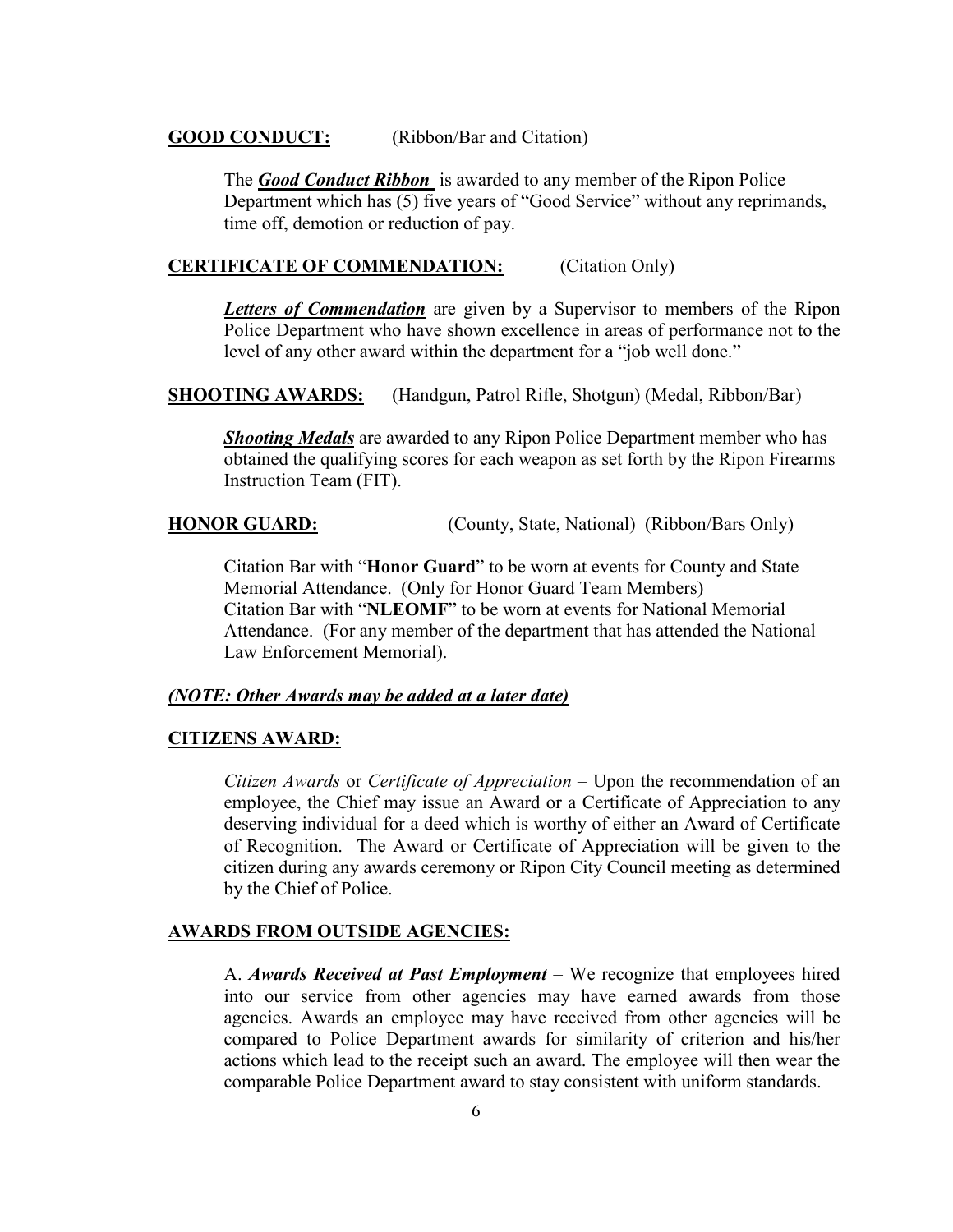#### **GOOD CONDUCT:** (Ribbon/Bar and Citation)

The *Good Conduct Ribbon* is awarded to any member of the Ripon Police Department which has (5) five years of "Good Service" without any reprimands, time off, demotion or reduction of pay.

#### **CERTIFICATE OF COMMENDATION:** (Citation Only)

*Letters of Commendation* are given by a Supervisor to members of the Ripon Police Department who have shown excellence in areas of performance not to the level of any other award within the department for a "job well done."

**SHOOTING AWARDS:** (Handgun, Patrol Rifle, Shotgun) (Medal, Ribbon/Bar)

*Shooting Medals* are awarded to any Ripon Police Department member who has obtained the qualifying scores for each weapon as set forth by the Ripon Firearms Instruction Team (FIT).

**HONOR GUARD:** (County, State, National) (Ribbon/Bars Only)

Citation Bar with "**Honor Guard**" to be worn at events for County and State Memorial Attendance. (Only for Honor Guard Team Members) Citation Bar with "**NLEOMF**" to be worn at events for National Memorial Attendance. (For any member of the department that has attended the National Law Enforcement Memorial).

#### *(NOTE: Other Awards may be added at a later date)*

#### **CITIZENS AWARD:**

*Citizen Awards* or *Certificate of Appreciation* – Upon the recommendation of an employee, the Chief may issue an Award or a Certificate of Appreciation to any deserving individual for a deed which is worthy of either an Award of Certificate of Recognition. The Award or Certificate of Appreciation will be given to the citizen during any awards ceremony or Ripon City Council meeting as determined by the Chief of Police.

#### **AWARDS FROM OUTSIDE AGENCIES:**

A. *Awards Received at Past Employment* – We recognize that employees hired into our service from other agencies may have earned awards from those agencies. Awards an employee may have received from other agencies will be compared to Police Department awards for similarity of criterion and his/her actions which lead to the receipt such an award. The employee will then wear the comparable Police Department award to stay consistent with uniform standards.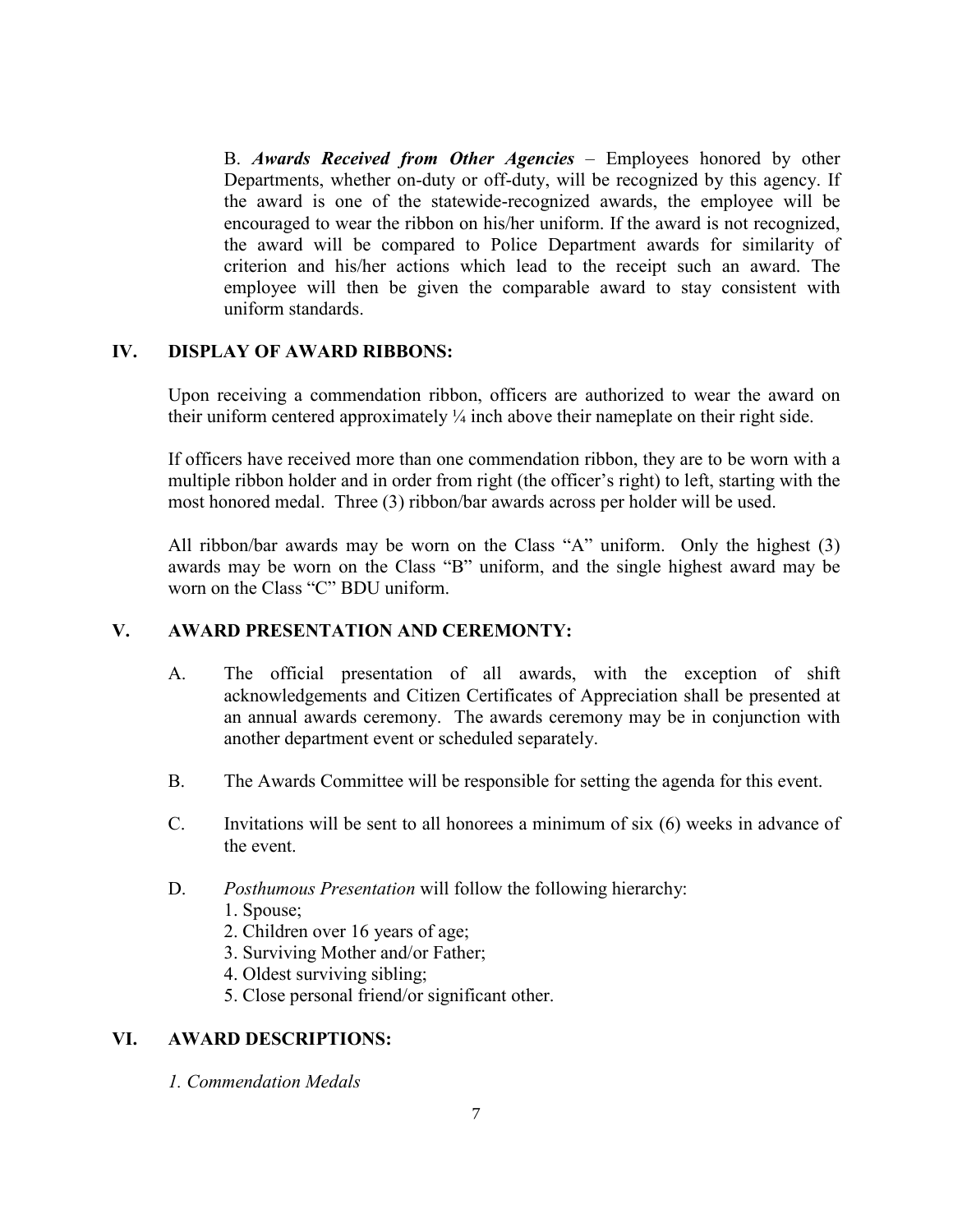B. *Awards Received from Other Agencies* – Employees honored by other Departments, whether on-duty or off-duty, will be recognized by this agency. If the award is one of the statewide-recognized awards, the employee will be encouraged to wear the ribbon on his/her uniform. If the award is not recognized, the award will be compared to Police Department awards for similarity of criterion and his/her actions which lead to the receipt such an award. The employee will then be given the comparable award to stay consistent with uniform standards.

#### **IV. DISPLAY OF AWARD RIBBONS:**

Upon receiving a commendation ribbon, officers are authorized to wear the award on their uniform centered approximately  $\frac{1}{4}$  inch above their nameplate on their right side.

If officers have received more than one commendation ribbon, they are to be worn with a multiple ribbon holder and in order from right (the officer's right) to left, starting with the most honored medal. Three (3) ribbon/bar awards across per holder will be used.

All ribbon/bar awards may be worn on the Class "A" uniform. Only the highest (3) awards may be worn on the Class "B" uniform, and the single highest award may be worn on the Class "C" BDU uniform.

#### **V. AWARD PRESENTATION AND CEREMONTY:**

- A. The official presentation of all awards, with the exception of shift acknowledgements and Citizen Certificates of Appreciation shall be presented at an annual awards ceremony. The awards ceremony may be in conjunction with another department event or scheduled separately.
- B. The Awards Committee will be responsible for setting the agenda for this event.
- C. Invitations will be sent to all honorees a minimum of six  $(6)$  weeks in advance of the event.
- D. *Posthumous Presentation* will follow the following hierarchy:
	- 1. Spouse;
	- 2. Children over 16 years of age;
	- 3. Surviving Mother and/or Father;
	- 4. Oldest surviving sibling;
	- 5. Close personal friend/or significant other.

#### **VI. AWARD DESCRIPTIONS:**

*1. Commendation Medals*